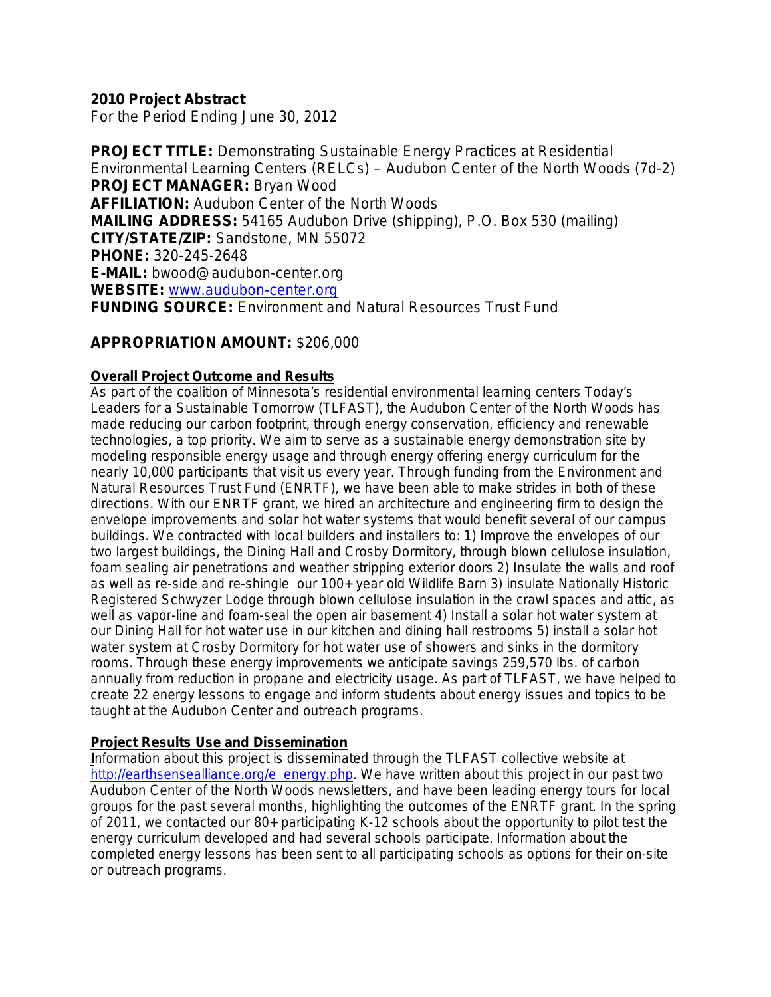### **2010 Project Abstract**

For the Period Ending June 30, 2012

**PROJECT TITLE:** Demonstrating Sustainable Energy Practices at Residential Environmental Learning Centers (RELCs) – Audubon Center of the North Woods (7d-2) **PROJECT MANAGER:** Bryan Wood **AFFILIATION:** Audubon Center of the North Woods **MAILING ADDRESS:** 54165 Audubon Drive (shipping), P.O. Box 530 (mailing) **CITY/STATE/ZIP:** Sandstone, MN 55072 **PHONE:** 320-245-2648 **E-MAIL:** bwood@audubon-center.org **WEBSITE:** [www.audubon-center.org](http://www.audubon-center.org/) **FUNDING SOURCE:** Environment and Natural Resources Trust Fund

### **APPROPRIATION AMOUNT:** \$206,000

#### **Overall Project Outcome and Results**

As part of the coalition of Minnesota's residential environmental learning centers Today's Leaders for a Sustainable Tomorrow (TLFAST), the Audubon Center of the North Woods has made reducing our carbon footprint, through energy conservation, efficiency and renewable technologies, a top priority. We aim to serve as a sustainable energy demonstration site by modeling responsible energy usage and through energy offering energy curriculum for the nearly 10,000 participants that visit us every year. Through funding from the Environment and Natural Resources Trust Fund (ENRTF), we have been able to make strides in both of these directions. With our ENRTF grant, we hired an architecture and engineering firm to design the envelope improvements and solar hot water systems that would benefit several of our campus buildings. We contracted with local builders and installers to: 1) Improve the envelopes of our two largest buildings, the Dining Hall and Crosby Dormitory, through blown cellulose insulation, foam sealing air penetrations and weather stripping exterior doors 2) Insulate the walls and roof as well as re-side and re-shingle our 100+ year old Wildlife Barn 3) insulate Nationally Historic Registered Schwyzer Lodge through blown cellulose insulation in the crawl spaces and attic, as well as vapor-line and foam-seal the open air basement 4) Install a solar hot water system at our Dining Hall for hot water use in our kitchen and dining hall restrooms 5) install a solar hot water system at Crosby Dormitory for hot water use of showers and sinks in the dormitory rooms. Through these energy improvements we anticipate savings 259,570 lbs. of carbon annually from reduction in propane and electricity usage. As part of TLFAST, we have helped to create 22 energy lessons to engage and inform students about energy issues and topics to be taught at the Audubon Center and outreach programs.

#### **Project Results Use and Dissemination**

**I**nformation about this project is disseminated through the TLFAST collective website at [http://earthsensealliance.org/e\\_energy.php.](http://earthsensealliance.org/e_energy.php) We have written about this project in our past two Audubon Center of the North Woods newsletters, and have been leading energy tours for local groups for the past several months, highlighting the outcomes of the ENRTF grant. In the spring of 2011, we contacted our 80+ participating K-12 schools about the opportunity to pilot test the energy curriculum developed and had several schools participate. Information about the completed energy lessons has been sent to all participating schools as options for their on-site or outreach programs.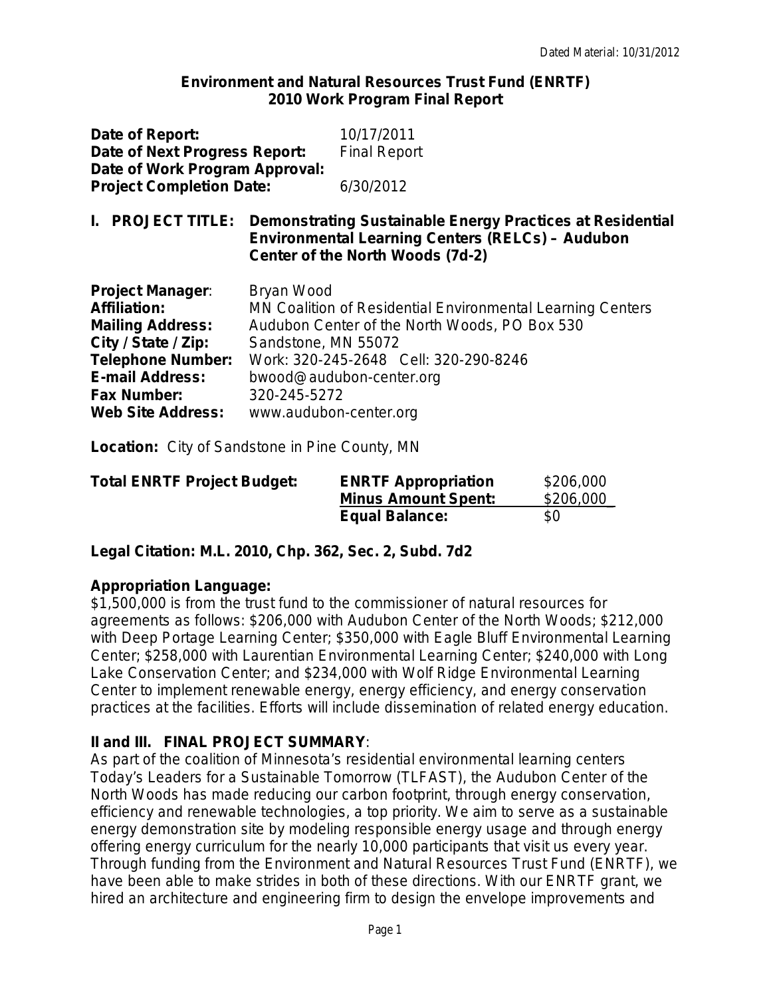#### **Environment and Natural Resources Trust Fund (ENRTF) 2010 Work Program Final Report**

| Date of Report:<br>Date of Next Progress Report:<br>Date of Work Program Approval:<br><b>Project Completion Date:</b>                                                                                    |                                                                             | 10/17/2011<br><b>Final Report</b><br>6/30/2012                                                                                                                                   |  |  |  |
|----------------------------------------------------------------------------------------------------------------------------------------------------------------------------------------------------------|-----------------------------------------------------------------------------|----------------------------------------------------------------------------------------------------------------------------------------------------------------------------------|--|--|--|
| <b>PROJECT TITLE:</b>                                                                                                                                                                                    |                                                                             | Demonstrating Sustainable Energy Practices at Residential<br><b>Environmental Learning Centers (RELCs) - Audubon</b><br>Center of the North Woods (7d-2)                         |  |  |  |
| <b>Project Manager:</b><br><b>Affiliation:</b><br><b>Mailing Address:</b><br>City / State / Zip:<br><b>Telephone Number:</b><br><b>E-mail Address:</b><br><b>Fax Number:</b><br><b>Web Site Address:</b> | Bryan Wood<br>Sandstone, MN 55072<br>320-245-5272<br>www.audubon-center.org | MN Coalition of Residential Environmental Learning Centers<br>Audubon Center of the North Woods, PO Box 530<br>Work: 320-245-2648 Cell: 320-290-8246<br>bwood@audubon-center.org |  |  |  |

**Location:**City of Sandstone in Pine County, MN

| <b>Total ENRTF Project Budget:</b> | <b>ENRTF Appropriation</b> | \$206,000 |
|------------------------------------|----------------------------|-----------|
|                                    | <b>Minus Amount Spent:</b> | \$206,000 |
|                                    | <b>Equal Balance:</b>      | \$0       |

**Legal Citation: M.L. 2010, Chp. 362, Sec. 2, Subd. 7d2**

### **Appropriation Language:**

\$1,500,000 is from the trust fund to the commissioner of natural resources for agreements as follows: \$206,000 with Audubon Center of the North Woods; \$212,000 with Deep Portage Learning Center; \$350,000 with Eagle Bluff Environmental Learning Center; \$258,000 with Laurentian Environmental Learning Center; \$240,000 with Long Lake Conservation Center; and \$234,000 with Wolf Ridge Environmental Learning Center to implement renewable energy, energy efficiency, and energy conservation practices at the facilities. Efforts will include dissemination of related energy education.

### **II and III. FINAL PROJECT SUMMARY**:

As part of the coalition of Minnesota's residential environmental learning centers Today's Leaders for a Sustainable Tomorrow (TLFAST), the Audubon Center of the North Woods has made reducing our carbon footprint, through energy conservation, efficiency and renewable technologies, a top priority. We aim to serve as a sustainable energy demonstration site by modeling responsible energy usage and through energy offering energy curriculum for the nearly 10,000 participants that visit us every year. Through funding from the Environment and Natural Resources Trust Fund (ENRTF), we have been able to make strides in both of these directions. With our ENRTF grant, we hired an architecture and engineering firm to design the envelope improvements and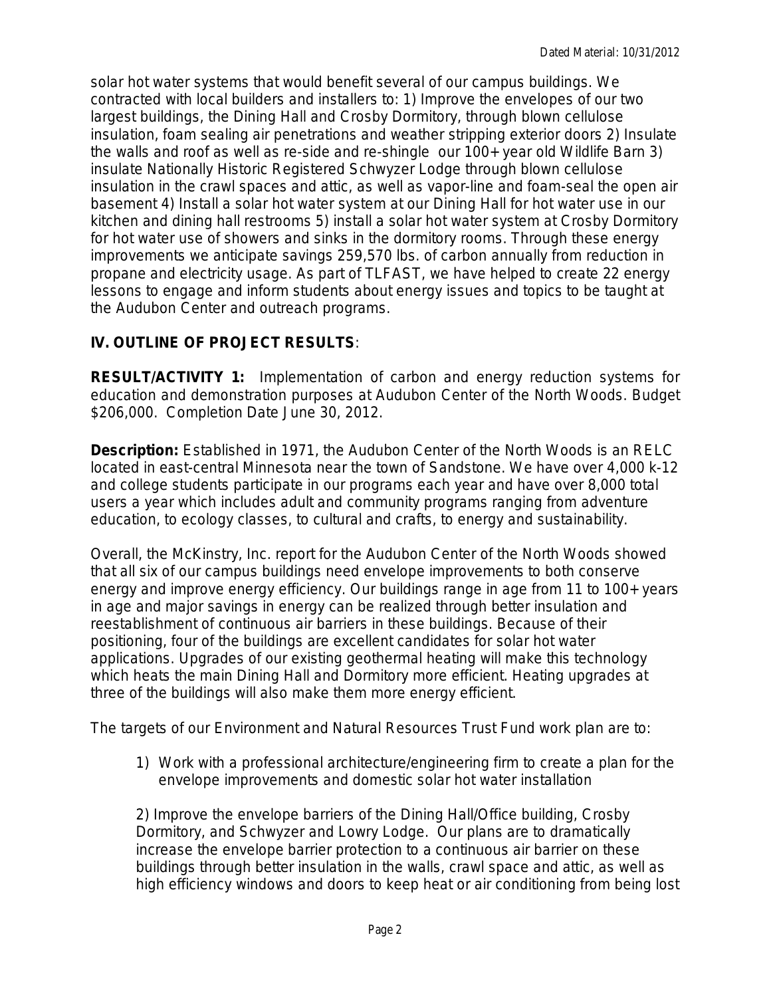solar hot water systems that would benefit several of our campus buildings. We contracted with local builders and installers to: 1) Improve the envelopes of our two largest buildings, the Dining Hall and Crosby Dormitory, through blown cellulose insulation, foam sealing air penetrations and weather stripping exterior doors 2) Insulate the walls and roof as well as re-side and re-shingle our 100+ year old Wildlife Barn 3) insulate Nationally Historic Registered Schwyzer Lodge through blown cellulose insulation in the crawl spaces and attic, as well as vapor-line and foam-seal the open air basement 4) Install a solar hot water system at our Dining Hall for hot water use in our kitchen and dining hall restrooms 5) install a solar hot water system at Crosby Dormitory for hot water use of showers and sinks in the dormitory rooms. Through these energy improvements we anticipate savings 259,570 lbs. of carbon annually from reduction in propane and electricity usage. As part of TLFAST, we have helped to create 22 energy lessons to engage and inform students about energy issues and topics to be taught at the Audubon Center and outreach programs.

## **IV. OUTLINE OF PROJECT RESULTS***:*

**RESULT/ACTIVITY 1:** Implementation of carbon and energy reduction systems for education and demonstration purposes at Audubon Center of the North Woods. Budget \$206,000. Completion Date June 30, 2012.

**Description:** Established in 1971, the Audubon Center of the North Woods is an RELC located in east-central Minnesota near the town of Sandstone. We have over 4,000 k-12 and college students participate in our programs each year and have over 8,000 total users a year which includes adult and community programs ranging from adventure education, to ecology classes, to cultural and crafts, to energy and sustainability.

Overall, the McKinstry, Inc. report for the Audubon Center of the North Woods showed that all six of our campus buildings need envelope improvements to both conserve energy and improve energy efficiency. Our buildings range in age from 11 to 100+ years in age and major savings in energy can be realized through better insulation and reestablishment of continuous air barriers in these buildings. Because of their positioning, four of the buildings are excellent candidates for solar hot water applications. Upgrades of our existing geothermal heating will make this technology which heats the main Dining Hall and Dormitory more efficient. Heating upgrades at three of the buildings will also make them more energy efficient.

The targets of our Environment and Natural Resources Trust Fund work plan are to:

1) Work with a professional architecture/engineering firm to create a plan for the envelope improvements and domestic solar hot water installation

2) Improve the envelope barriers of the Dining Hall/Office building, Crosby Dormitory, and Schwyzer and Lowry Lodge. Our plans are to dramatically increase the envelope barrier protection to a continuous air barrier on these buildings through better insulation in the walls, crawl space and attic, as well as high efficiency windows and doors to keep heat or air conditioning from being lost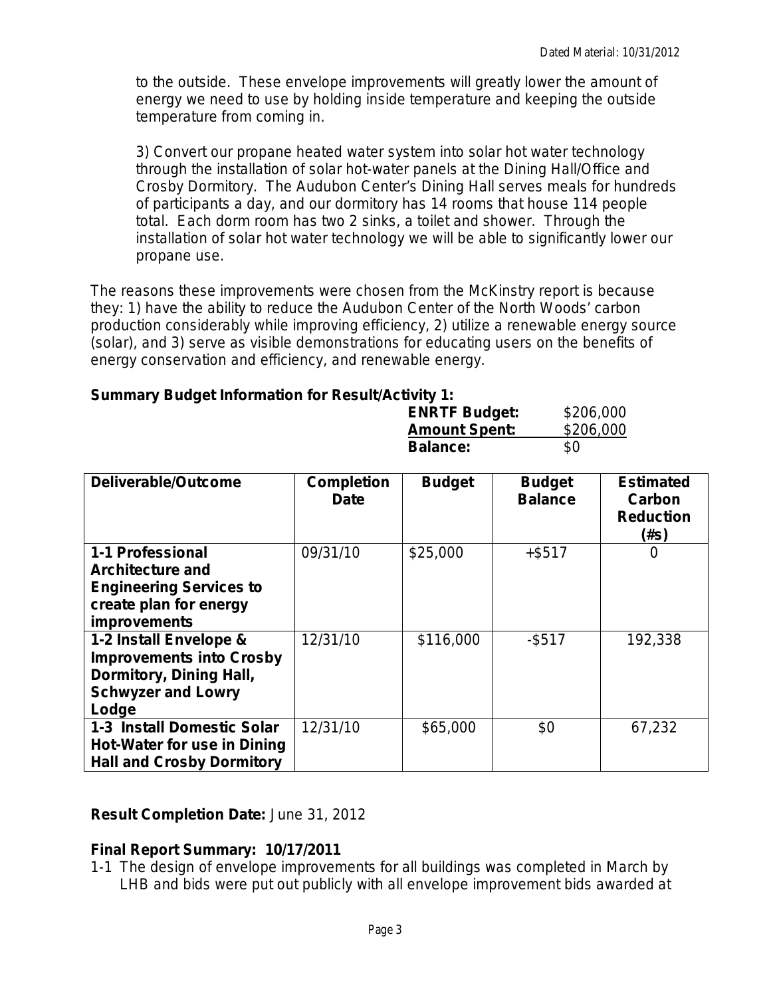to the outside. These envelope improvements will greatly lower the amount of energy we need to use by holding inside temperature and keeping the outside temperature from coming in.

3) Convert our propane heated water system into solar hot water technology through the installation of solar hot-water panels at the Dining Hall/Office and Crosby Dormitory. The Audubon Center's Dining Hall serves meals for hundreds of participants a day, and our dormitory has 14 rooms that house 114 people total. Each dorm room has two 2 sinks, a toilet and shower. Through the installation of solar hot water technology we will be able to significantly lower our propane use.

The reasons these improvements were chosen from the McKinstry report is because they: 1) have the ability to reduce the Audubon Center of the North Woods' carbon production considerably while improving efficiency, 2) utilize a renewable energy source (solar), and 3) serve as visible demonstrations for educating users on the benefits of energy conservation and efficiency, and renewable energy.

### **Summary Budget Information for Result/Activity 1:**

| <b>Summary Budget Information for Result Activity 1.</b>                                                                       |                                  |                                   |                                 |                                                        |
|--------------------------------------------------------------------------------------------------------------------------------|----------------------------------|-----------------------------------|---------------------------------|--------------------------------------------------------|
|                                                                                                                                |                                  | <b>ENRTF Budget:</b>              | \$206,000                       |                                                        |
|                                                                                                                                |                                  | <b>Amount Spent:</b><br>\$206,000 |                                 |                                                        |
|                                                                                                                                |                                  | <b>Balance:</b>                   | \$0                             |                                                        |
|                                                                                                                                |                                  |                                   |                                 |                                                        |
| Deliverable/Outcome                                                                                                            | <b>Completion</b><br><b>Date</b> | <b>Budget</b>                     | <b>Budget</b><br><b>Balance</b> | <b>Estimated</b><br>Carbon<br><b>Reduction</b><br>(#s) |
| 1-1 Professional<br><b>Architecture and</b><br><b>Engineering Services to</b><br>create plan for energy<br><i>improvements</i> | 09/31/10                         | \$25,000                          | +\$517                          | 0                                                      |
| 1-2 Install Envelope &<br><b>Improvements into Crosby</b><br>Dormitory, Dining Hall,<br><b>Schwyzer and Lowry</b><br>Lodge     | 12/31/10                         | \$116,000                         | $-$ \$517                       | 192,338                                                |
| <b>1-3 Install Domestic Solar</b><br>Hot-Water for use in Dining                                                               | 12/31/10                         | \$65,000                          | \$0                             | 67,232                                                 |

**Result Completion Date:** *June 31, 2012*

### **Final Report Summary: 10/17/2011**

**Hall and Crosby Dormitory**

1-1 The design of envelope improvements for all buildings was completed in March by LHB and bids were put out publicly with all envelope improvement bids awarded at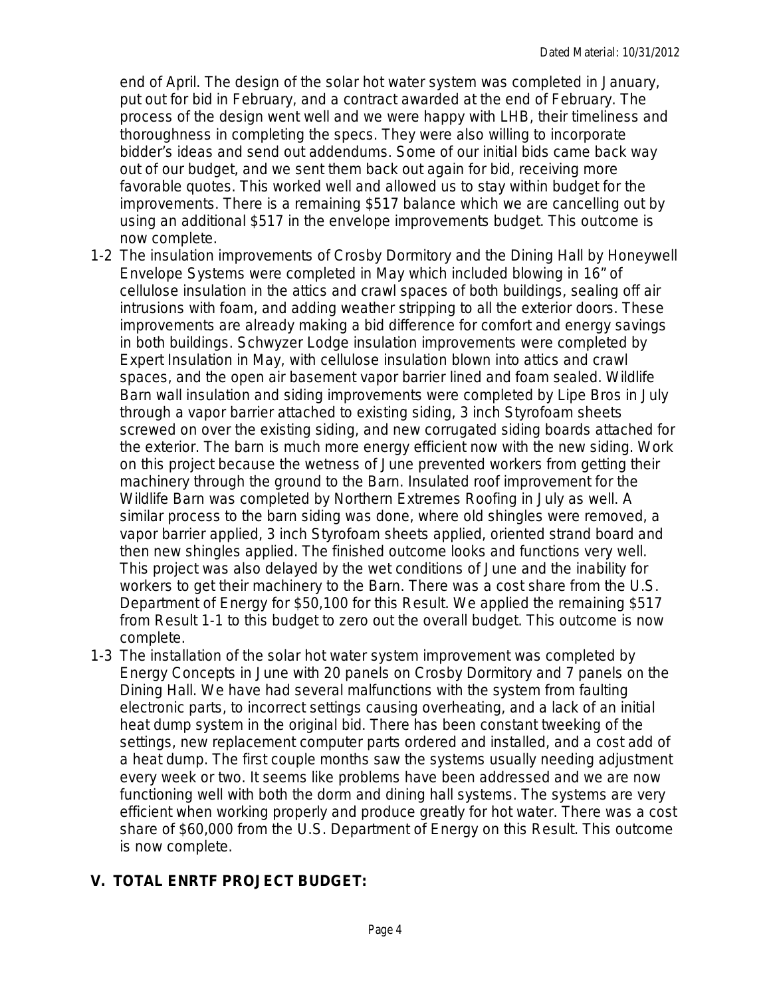end of April. The design of the solar hot water system was completed in January, put out for bid in February, and a contract awarded at the end of February. The process of the design went well and we were happy with LHB, their timeliness and thoroughness in completing the specs. They were also willing to incorporate bidder's ideas and send out addendums. Some of our initial bids came back way out of our budget, and we sent them back out again for bid, receiving more favorable quotes. This worked well and allowed us to stay within budget for the improvements. There is a remaining \$517 balance which we are cancelling out by using an additional \$517 in the envelope improvements budget. This outcome is now complete.

- 1-2 The insulation improvements of Crosby Dormitory and the Dining Hall by Honeywell Envelope Systems were completed in May which included blowing in 16" of cellulose insulation in the attics and crawl spaces of both buildings, sealing off air intrusions with foam, and adding weather stripping to all the exterior doors. These improvements are already making a bid difference for comfort and energy savings in both buildings. Schwyzer Lodge insulation improvements were completed by Expert Insulation in May, with cellulose insulation blown into attics and crawl spaces, and the open air basement vapor barrier lined and foam sealed. Wildlife Barn wall insulation and siding improvements were completed by Lipe Bros in July through a vapor barrier attached to existing siding, 3 inch Styrofoam sheets screwed on over the existing siding, and new corrugated siding boards attached for the exterior. The barn is much more energy efficient now with the new siding. Work on this project because the wetness of June prevented workers from getting their machinery through the ground to the Barn. Insulated roof improvement for the Wildlife Barn was completed by Northern Extremes Roofing in July as well. A similar process to the barn siding was done, where old shingles were removed, a vapor barrier applied, 3 inch Styrofoam sheets applied, oriented strand board and then new shingles applied. The finished outcome looks and functions very well. This project was also delayed by the wet conditions of June and the inability for workers to get their machinery to the Barn. There was a cost share from the U.S. Department of Energy for \$50,100 for this Result. We applied the remaining \$517 from Result 1-1 to this budget to zero out the overall budget. This outcome is now complete.
- 1-3 The installation of the solar hot water system improvement was completed by Energy Concepts in June with 20 panels on Crosby Dormitory and 7 panels on the Dining Hall. We have had several malfunctions with the system from faulting electronic parts, to incorrect settings causing overheating, and a lack of an initial heat dump system in the original bid. There has been constant tweeking of the settings, new replacement computer parts ordered and installed, and a cost add of a heat dump. The first couple months saw the systems usually needing adjustment every week or two. It seems like problems have been addressed and we are now functioning well with both the dorm and dining hall systems. The systems are very efficient when working properly and produce greatly for hot water. There was a cost share of \$60,000 from the U.S. Department of Energy on this Result. This outcome is now complete.

# **V. TOTAL ENRTF PROJECT BUDGET:**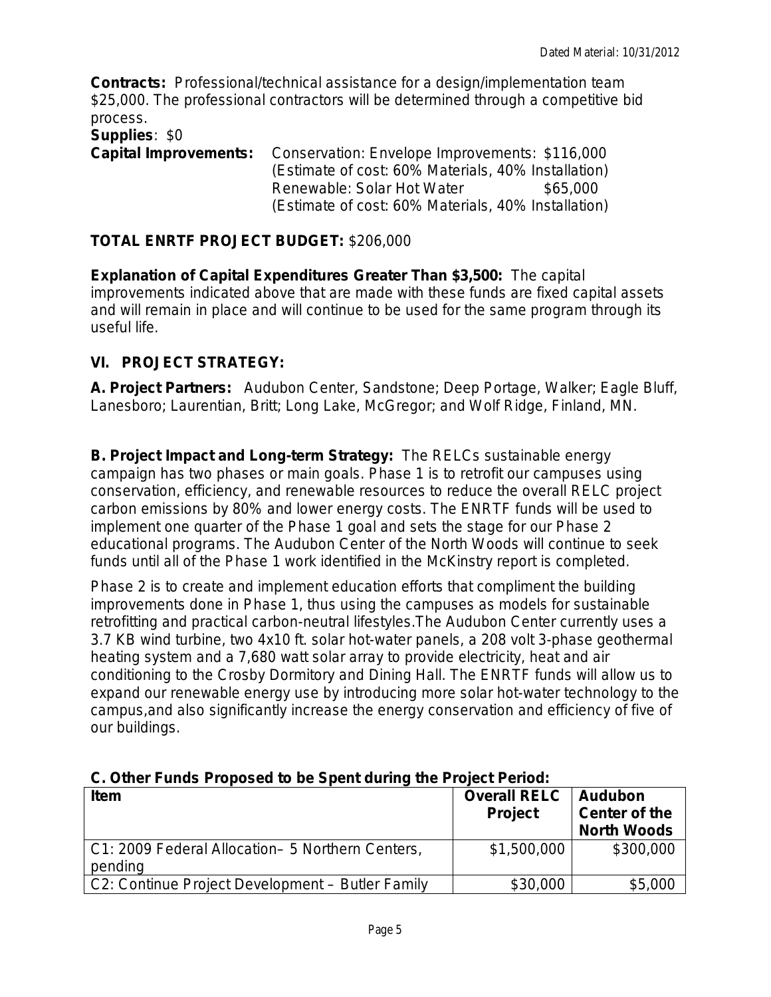**Contracts:** Professional/technical assistance for a design/implementation team \$25,000. The professional contractors will be determined through a competitive bid process.

#### **Supplies**: \$0

**Capital Improvements:** Conservation: Envelope Improvements: \$116,000 (Estimate of cost: 60% Materials, 40% Installation) Renewable: Solar Hot Water  $$65,000$ (Estimate of cost: 60% Materials, 40% Installation)

### **TOTAL ENRTF PROJECT BUDGET:** \$206,000

**Explanation of Capital Expenditures Greater Than \$3,500:** The capital improvements indicated above that are made with these funds are fixed capital assets and will remain in place and will continue to be used for the same program through its useful life.

## **VI. PROJECT STRATEGY:**

**A. Project Partners:** Audubon Center, Sandstone; Deep Portage, Walker; Eagle Bluff, Lanesboro; Laurentian, Britt; Long Lake, McGregor; and Wolf Ridge, Finland, MN.

**B. Project Impact and Long-term Strategy:** The RELCs sustainable energy campaign has two phases or main goals. Phase 1 is to retrofit our campuses using conservation, efficiency, and renewable resources to reduce the overall RELC project carbon emissions by 80% and lower energy costs. The ENRTF funds will be used to implement one quarter of the Phase 1 goal and sets the stage for our Phase 2 educational programs. The Audubon Center of the North Woods will continue to seek funds until all of the Phase 1 work identified in the McKinstry report is completed.

Phase 2 is to create and implement education efforts that compliment the building improvements done in Phase 1, thus using the campuses as models for sustainable retrofitting and practical carbon-neutral lifestyles.The Audubon Center currently uses a 3.7 KB wind turbine, two 4x10 ft. solar hot-water panels, a 208 volt 3-phase geothermal heating system and a 7,680 watt solar array to provide electricity, heat and air conditioning to the Crosby Dormitory and Dining Hall. The ENRTF funds will allow us to expand our renewable energy use by introducing more solar hot-water technology to the campus,and also significantly increase the energy conservation and efficiency of five of our buildings.

| <b>Item</b>                                                 | <b>Overall RELC</b><br><b>Project</b> | <b>Audubon</b><br><b>Center of the</b><br><b>North Woods</b> |  |  |  |  |
|-------------------------------------------------------------|---------------------------------------|--------------------------------------------------------------|--|--|--|--|
| C1: 2009 Federal Allocation- 5 Northern Centers,<br>pending | \$1,500,000                           | \$300,000                                                    |  |  |  |  |
| C2: Continue Project Development - Butler Family            | \$30,000                              | \$5,000                                                      |  |  |  |  |

### **C. Other Funds Proposed to be Spent during the Project Period:**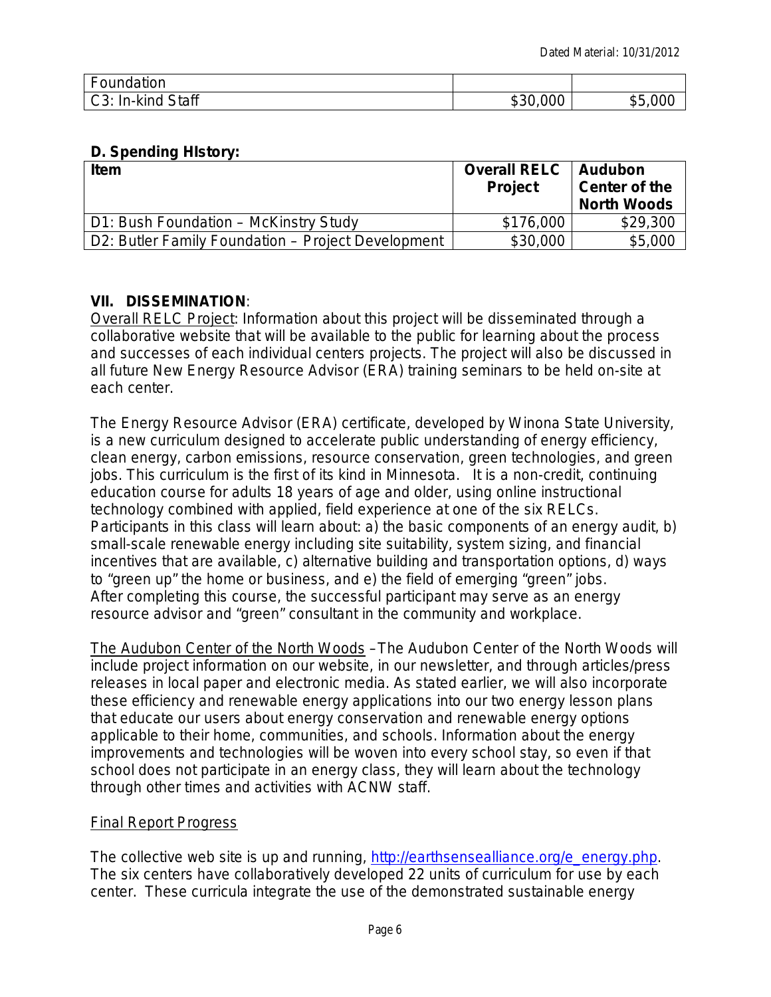| Foundation               |          |                            |
|--------------------------|----------|----------------------------|
| d Staff<br>l C3: In-kind | \$30,000 | \$5<br>$\sim$ $\sim$<br>ЛU |

### **D. Spending HIstory:**

| <b>Item</b>                                        | <b>Overall RELC</b><br><b>Project</b> | Audubon<br>Center of the<br><b>North Woods</b> |
|----------------------------------------------------|---------------------------------------|------------------------------------------------|
| D1: Bush Foundation - McKinstry Study              | \$176,000                             | \$29,300                                       |
| D2: Butler Family Foundation – Project Development | \$30,000                              | \$5,000                                        |

### **VII. DISSEMINATION**:

Overall RELC Project: Information about this project will be disseminated through a collaborative website that will be available to the public for learning about the process and successes of each individual centers projects. The project will also be discussed in all future New Energy Resource Advisor (ERA) training seminars to be held on-site at each center.

The Energy Resource Advisor (ERA) certificate, developed by Winona State University, is a new curriculum designed to accelerate public understanding of energy efficiency, clean energy, carbon emissions, resource conservation, green technologies, and green jobs. This curriculum is the *first of its kind in Minnesota*. It is a non-credit, continuing education course for adults 18 years of age and older, *using online instructional technology combined with applied, field experience at one of the six RELCs*. Participants in this class will learn about: a) the basic components of an energy audit, b) small-scale renewable energy including site suitability, system sizing, and financial incentives that are available, c) alternative building and transportation options, d) ways to "green up" the home or business, and e) the field of emerging "green" jobs. After completing this course, the successful participant may serve as an energy resource advisor and "green" consultant in the community and workplace.

The Audubon Center of the North Woods –The Audubon Center of the North Woods will include project information on our website, in our newsletter, and through articles/press releases in local paper and electronic media. As stated earlier, we will also incorporate these efficiency and renewable energy applications into our two energy lesson plans that educate our users about energy conservation and renewable energy options applicable to their home, communities, and schools. Information about the energy improvements and technologies will be woven into every school stay, so even if that school does not participate in an energy class, they will learn about the technology through other times and activities with ACNW staff.

### Final Report Progress

The collective web site is up and running, [http://earthsensealliance.org/e\\_energy.php.](http://earthsensealliance.org/e_energy.php) The six centers have collaboratively developed 22 units of curriculum for use by each center. These curricula integrate the use of the demonstrated sustainable energy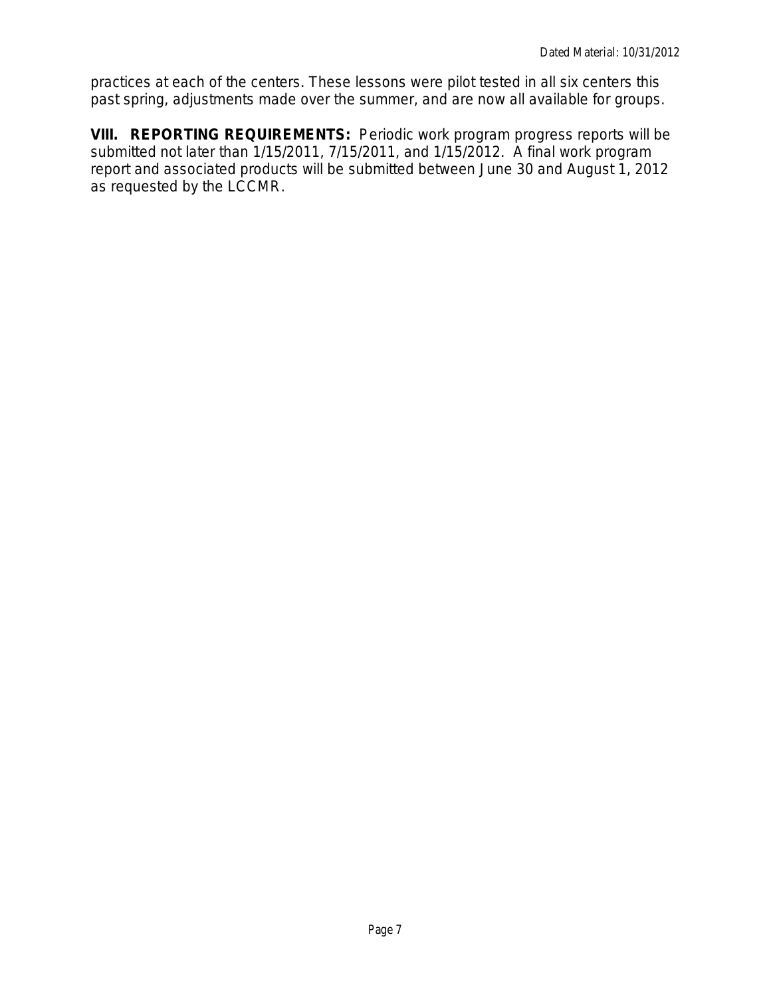practices at each of the centers. These lessons were pilot tested in all six centers this past spring, adjustments made over the summer, and are now all available for groups.

**VIII. REPORTING REQUIREMENTS:** Periodic work program progress reports will be submitted not later than 1/15/2011, 7/15/2011, and 1/15/2012. A final work program report and associated products will be submitted between June 30 and August 1, 2012 as requested by the LCCMR.